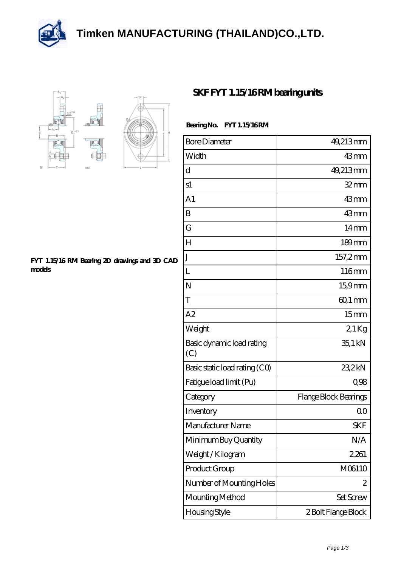





## **[FYT 1.15/16 RM Bearing 2D drawings and 3D CAD](https://m.thereclaimer.net/pic-65136345.html) [models](https://m.thereclaimer.net/pic-65136345.html)**

## **[SKF FYT 1.15/16 RM bearing units](https://m.thereclaimer.net/skf-fyt-1-15-16-rm-bearing/)**

## **Bearing No. FYT 1.15/16 RM**

| <b>Bore Diameter</b>             | 49,213mm              |
|----------------------------------|-----------------------|
| Width                            | 43mm                  |
| d                                | 49,213mm              |
| s1                               | $32$ mm               |
| A <sub>1</sub>                   | 43mm                  |
| B                                | 43mm                  |
| G                                | 14 <sub>mm</sub>      |
| H                                | $189$ mm              |
| J                                | 157,2mm               |
| L                                | 116mm                 |
| N                                | 15,9mm                |
| T                                | $601 \,\mathrm{mm}$   |
| A2                               | 15 <sub>mm</sub>      |
| Weight                           | $21$ Kg               |
| Basic dynamic load rating<br>(C) | 35,1 kN               |
| Basic static load rating (CO)    | 23,2kN                |
| Fatigue load limit (Pu)          | 0,98                  |
| Category                         | Flange Block Bearings |
| Inventory                        | 0 <sub>0</sub>        |
| Manufacturer Name                | <b>SKF</b>            |
| Minimum Buy Quantity             | N/A                   |
| Weight / Kilogram                | 2.261                 |
| Product Group                    | M06110                |
| Number of Mounting Holes         | 2                     |
| Mounting Method                  | Set Screw             |
| Housing Style                    | 2 Bolt Flange Block   |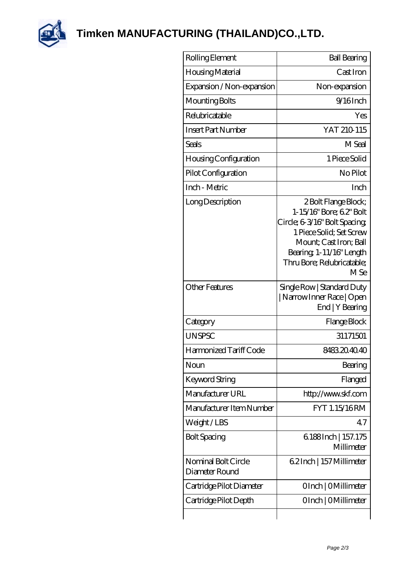

**[Timken MANUFACTURING \(THAILAND\)CO.,LTD.](https://m.thereclaimer.net)**

| Rolling Element                       | <b>Ball Bearing</b>                                                                                                                                                                                                |
|---------------------------------------|--------------------------------------------------------------------------------------------------------------------------------------------------------------------------------------------------------------------|
| Housing Material                      | Cast Iron                                                                                                                                                                                                          |
| Expansion / Non-expansion             | Non-expansion                                                                                                                                                                                                      |
| Mounting Bolts                        | $9/16$ Inch                                                                                                                                                                                                        |
| Relubricatable                        | Yes                                                                                                                                                                                                                |
| <b>Insert Part Number</b>             | YAT 210 115                                                                                                                                                                                                        |
| Seals                                 | M Seal                                                                                                                                                                                                             |
| Housing Configuration                 | 1 Piece Solid                                                                                                                                                                                                      |
| Pilot Configuration                   | No Pilot                                                                                                                                                                                                           |
| Inch - Metric                         | Inch                                                                                                                                                                                                               |
| Long Description                      | 2 Bolt Flange Block;<br>1-15/16" Bore; 62" Bolt<br>Circle; 6-3/16" Bolt Spacing;<br>1 Piece Solid; Set Screw<br>Mount; Cast Iron; Ball<br>Bearing 1-11/16" Length<br>Thru Bore; Relubricatable;<br>M <sub>Se</sub> |
| Other Features                        | Single Row   Standard Duty<br>Narrow Inner Race   Open<br>End   Y Bearing                                                                                                                                          |
| Category                              | Flange Block                                                                                                                                                                                                       |
| <b>UNSPSC</b>                         | 31171501                                                                                                                                                                                                           |
| Harmonized Tariff Code                | 8483204040                                                                                                                                                                                                         |
| Noun                                  | Bearing                                                                                                                                                                                                            |
| Keyword String                        | Flanged                                                                                                                                                                                                            |
| Manufacturer URL                      | http://www.skf.com                                                                                                                                                                                                 |
| Manufacturer Item Number              | FYT 1.15/16RM                                                                                                                                                                                                      |
| Weight/LBS                            | 47                                                                                                                                                                                                                 |
| <b>Bolt Spacing</b>                   | 6188Inch   157.175<br>Millimeter                                                                                                                                                                                   |
| Nominal Bolt Circle<br>Diameter Round | 62Inch   157 Millimeter                                                                                                                                                                                            |
| Cartridge Pilot Diameter              | OInch   OMillimeter                                                                                                                                                                                                |
| Cartridge Pilot Depth                 | OInch   OMillimeter                                                                                                                                                                                                |
|                                       |                                                                                                                                                                                                                    |